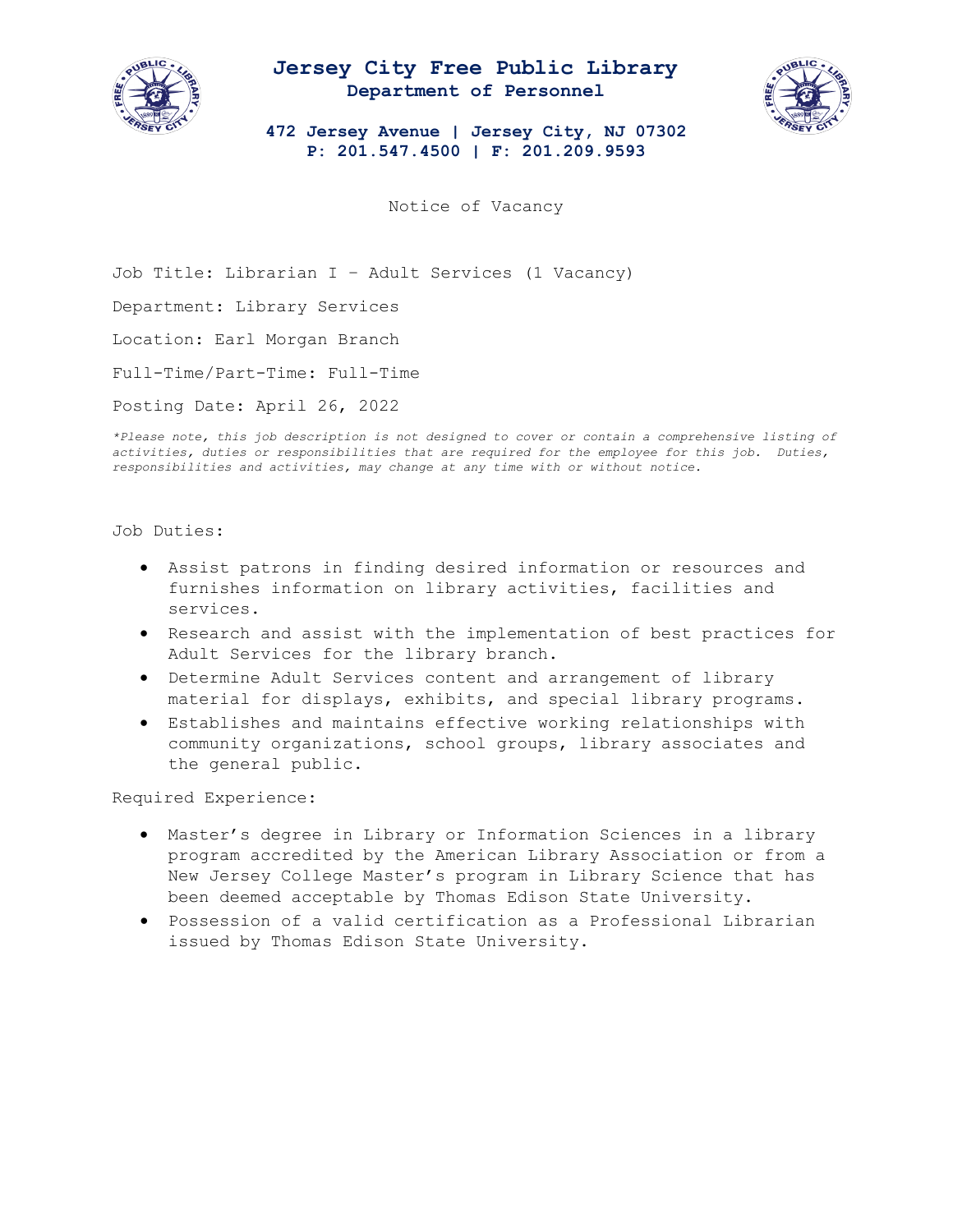

## **Jersey City Free Public Library Department of Personnel**



**472 Jersey Avenue | Jersey City, NJ 07302 P: 201.547.4500 | F: 201.209.9593**

Notice of Vacancy

Job Title: Librarian I – Adult Services (1 Vacancy)

Department: Library Services

Location: Earl Morgan Branch

Full-Time/Part-Time: Full-Time

Posting Date: April 26, 2022

*\*Please note, this job description is not designed to cover or contain a comprehensive listing of activities, duties or responsibilities that are required for the employee for this job. Duties, responsibilities and activities, may change at any time with or without notice.* 

Job Duties:

- Assist patrons in finding desired information or resources and furnishes information on library activities, facilities and services.
- Research and assist with the implementation of best practices for Adult Services for the library branch.
- Determine Adult Services content and arrangement of library material for displays, exhibits, and special library programs.
- Establishes and maintains effective working relationships with community organizations, school groups, library associates and the general public.

Required Experience:

- Master's degree in Library or Information Sciences in a library program accredited by the American Library Association or from a New Jersey College Master's program in Library Science that has been deemed acceptable by Thomas Edison State University.
- Possession of a valid certification as a Professional Librarian issued by Thomas Edison State University.